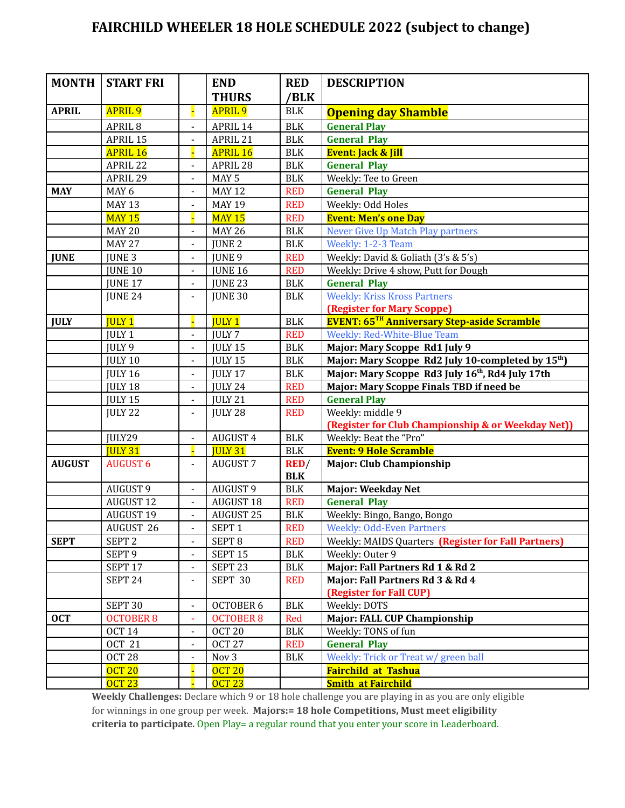## **FAIRCHILD WHEELER 18 HOLE SCHEDULE 2022 (subject to change)**

| <b>MONTH</b>  | <b>START FRI</b>   |                              | <b>END</b>         | <b>RED</b>           | <b>DESCRIPTION</b>                                             |  |
|---------------|--------------------|------------------------------|--------------------|----------------------|----------------------------------------------------------------|--|
|               |                    |                              | <b>THURS</b>       | /BLK                 |                                                                |  |
| <b>APRIL</b>  | <b>APRIL 9</b>     | н                            | <b>APRIL 9</b>     | <b>BLK</b>           | <b>Opening day Shamble</b>                                     |  |
|               | APRIL <sub>8</sub> | $\overline{a}$               | APRIL 14           | $\rm BLK$            | <b>General Play</b>                                            |  |
|               | APRIL 15           |                              | APRIL 21           | <b>BLK</b>           | <b>General Play</b>                                            |  |
|               | <b>APRIL 16</b>    |                              | <b>APRIL 16</b>    | <b>BLK</b>           | <b>Event: Jack &amp; Jill</b>                                  |  |
|               | APRIL 22           | $\blacksquare$               | APRIL 28           | <b>BLK</b>           | <b>General Play</b>                                            |  |
|               | APRIL 29           | L,                           | MAY <sub>5</sub>   | <b>BLK</b>           | Weekly: Tee to Green                                           |  |
| <b>MAY</b>    | MAY <sub>6</sub>   | L,                           | <b>MAY 12</b>      | <b>RED</b>           | <b>General Play</b>                                            |  |
|               | <b>MAY 13</b>      |                              | <b>MAY 19</b>      | <b>RED</b>           | Weekly: Odd Holes                                              |  |
|               | <b>MAY 15</b>      | Ц                            | <b>MAY 15</b>      | <b>RED</b>           | <b>Event: Men's one Day</b>                                    |  |
|               | <b>MAY 20</b>      |                              | <b>MAY 26</b>      | <b>BLK</b>           | Never Give Up Match Play partners                              |  |
|               | <b>MAY 27</b>      | $\overline{\phantom{0}}$     | <b>JUNE 2</b>      | <b>BLK</b>           | Weekly: 1-2-3 Team                                             |  |
| <b>JUNE</b>   | <b>JUNE 3</b>      | $\blacksquare$               | <b>JUNE 9</b>      | <b>RED</b>           | Weekly: David & Goliath (3's & 5's)                            |  |
|               | <b>JUNE 10</b>     | L,                           | <b>JUNE 16</b>     | <b>RED</b>           | Weekly: Drive 4 show, Putt for Dough                           |  |
|               | JUNE 17            | L,                           | <b>JUNE 23</b>     | <b>BLK</b>           | <b>General Play</b>                                            |  |
|               | JUNE 24            | $\blacksquare$               | <b>JUNE 30</b>     | <b>BLK</b>           | <b>Weekly: Kriss Kross Partners</b>                            |  |
|               |                    |                              |                    |                      | <b>(Register for Mary Scoppe)</b>                              |  |
| <b>JULY</b>   | <b>JULY 1</b>      | Ц                            | <b>IULY 1</b>      | <b>BLK</b>           | <b>EVENT: 65TH Anniversary Step-aside Scramble</b>             |  |
|               | JULY <sub>1</sub>  | $\overline{a}$               | <b>JULY 7</b>      | <b>RED</b>           | Weekly: Red-White-Blue Team                                    |  |
|               | <b>JULY 9</b>      |                              | JULY 15            | <b>BLK</b>           | Major: Mary Scoppe Rd1 July 9                                  |  |
|               | JULY 10            | $\overline{a}$               | <b>JULY 15</b>     | <b>BLK</b>           | Major: Mary Scoppe Rd2 July 10-completed by 15 <sup>th</sup> ) |  |
|               | <b>JULY 16</b>     | $\blacksquare$               | JULY 17            | <b>BLK</b>           | Major: Mary Scoppe Rd3 July 16 <sup>th</sup> , Rd4 July 17th   |  |
|               | JULY 18            | $\overline{\phantom{a}}$     | JULY 24            | <b>RED</b>           | Major: Mary Scoppe Finals TBD if need be                       |  |
|               | JULY 15            | $\blacksquare$               | JULY 21            | <b>RED</b>           | <b>General Play</b>                                            |  |
|               | JULY 22            | $\blacksquare$               | JULY 28            | <b>RED</b>           | Weekly: middle 9                                               |  |
|               |                    |                              |                    |                      | (Register for Club Championship & or Weekday Net))             |  |
|               | JULY29             | L.                           | <b>AUGUST 4</b>    | <b>BLK</b>           | Weekly: Beat the "Pro"                                         |  |
|               | <b>JULY 31</b>     | Ц                            | <b>JULY 31</b>     | <b>BLK</b>           | <b>Event: 9 Hole Scramble</b>                                  |  |
| <b>AUGUST</b> | <b>AUGUST 6</b>    | $\blacksquare$               | <b>AUGUST 7</b>    | RED/<br><b>BLK</b>   | <b>Major: Club Championship</b>                                |  |
|               | <b>AUGUST 9</b>    | $\qquad \qquad \blacksquare$ | <b>AUGUST 9</b>    | <b>BLK</b>           | <b>Major: Weekday Net</b>                                      |  |
|               | <b>AUGUST 12</b>   | $\blacksquare$               | <b>AUGUST 18</b>   | <b>RED</b>           | <b>General Play</b>                                            |  |
|               | <b>AUGUST 19</b>   | $\blacksquare$               | <b>AUGUST 25</b>   | $\operatorname{BLK}$ | Weekly: Bingo, Bango, Bongo                                    |  |
|               | AUGUST 26          |                              | SEPT <sub>1</sub>  | <b>RED</b>           | <b>Weekly: Odd-Even Partners</b>                               |  |
| <b>SEPT</b>   | SEPT <sub>2</sub>  |                              | SEPT <sub>8</sub>  | <b>RED</b>           | Weekly: MAIDS Quarters (Register for Fall Partners)            |  |
|               | SEPT <sub>9</sub>  | $\blacksquare$               | SEPT <sub>15</sub> | <b>BLK</b>           | Weekly: Outer 9                                                |  |
|               | SEPT 17            | $\frac{1}{2}$                | SEPT <sub>23</sub> | <b>BLK</b>           | Major: Fall Partners Rd 1 & Rd 2                               |  |
|               | SEPT <sub>24</sub> | $\blacksquare$               | SEPT 30            | <b>RED</b>           | Major: Fall Partners Rd 3 & Rd 4                               |  |
|               |                    |                              |                    |                      | (Register for Fall CUP)                                        |  |
|               | SEPT <sub>30</sub> | $\overline{\phantom{0}}$     | <b>OCTOBER 6</b>   | <b>BLK</b>           | Weekly: DOTS                                                   |  |
| <b>OCT</b>    | <b>OCTOBER 8</b>   | ÷,                           | <b>OCTOBER 8</b>   | Red                  | Major: FALL CUP Championship                                   |  |
|               | <b>OCT 14</b>      | $\blacksquare$               | OCT <sub>20</sub>  | <b>BLK</b>           | Weekly: TONS of fun                                            |  |
|               | <b>OCT 21</b>      | $\blacksquare$               | <b>OCT 27</b>      | <b>RED</b>           | <b>General Play</b>                                            |  |
|               | OCT 28             | $\qquad \qquad \blacksquare$ | Nov 3              | <b>BLK</b>           | Weekly: Trick or Treat w/ green ball                           |  |
|               | <b>OCT 20</b>      |                              | <b>OCT 20</b>      |                      | <b>Fairchild at Tashua</b>                                     |  |
|               | <b>OCT 23</b>      |                              | <b>OCT 23</b>      |                      | <b>Smith at Fairchild</b>                                      |  |
|               |                    |                              |                    |                      |                                                                |  |

**Weekly Challenges:** Declare which 9 or 18 hole challenge you are playing in as you are only eligible for winnings in one group per week. **Majors:= 18 hole Competitions, Must meet eligibility criteria to participate.** Open Play= a regular round that you enter your score in Leaderboard.